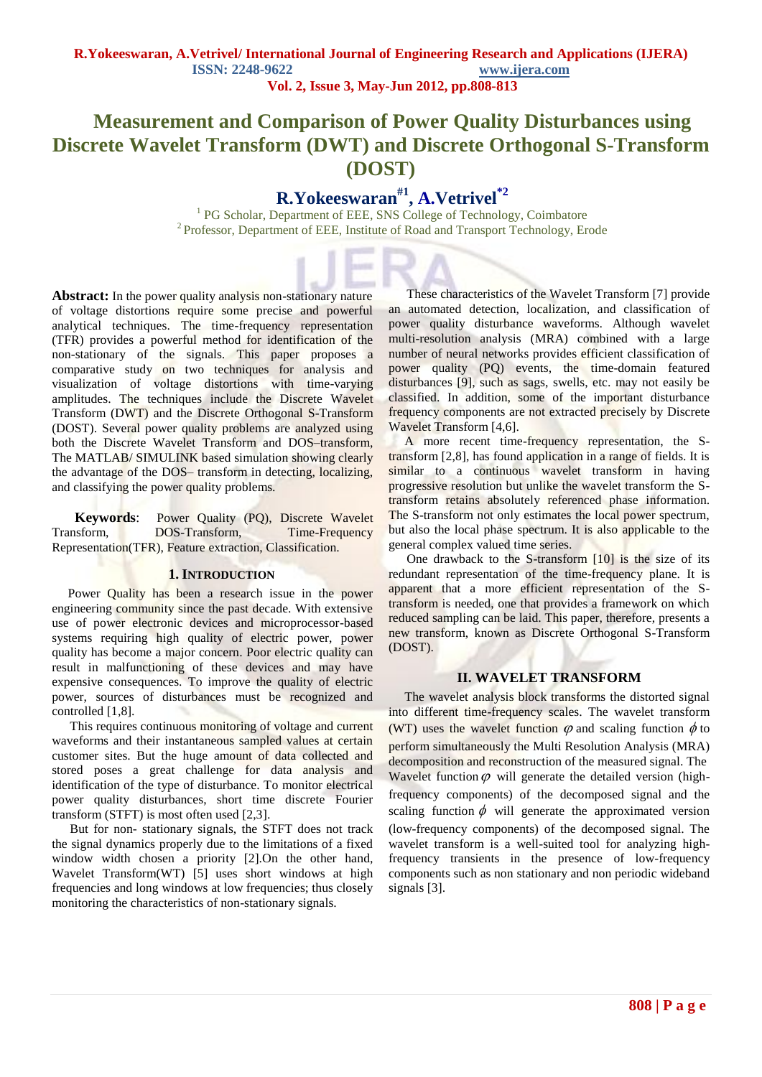# **Measurement and Comparison of Power Quality Disturbances using Discrete Wavelet Transform (DWT) and Discrete Orthogonal S-Transform (DOST)**

# **R.Yokeeswaran#1 , A.Vetrivel\*2**

<sup>1</sup> PG Scholar, Department of EEE, SNS College of Technology, Coimbatore <sup>2</sup> Professor, Department of EEE, Institute of Road and Transport Technology, Erode

**Abstract:** In the power quality analysis non-stationary nature of voltage distortions require some precise and powerful analytical techniques. The time-frequency representation (TFR) provides a powerful method for identification of the non-stationary of the signals. This paper proposes a comparative study on two techniques for analysis and visualization of voltage distortions with time-varying amplitudes. The techniques include the Discrete Wavelet Transform (DWT) and the Discrete Orthogonal S-Transform (DOST). Several power quality problems are analyzed using both the Discrete Wavelet Transform and DOS-transform, The MATLAB/ SIMULINK based simulation showing clearly the advantage of the DOS– transform in detecting, localizing, and classifying the power quality problems.

**Keywords**: Power Quality (PQ), Discrete Wavelet Transform, DOS-Transform, Time-Frequency Representation(TFR), Feature extraction, Classification.

#### **1. INTRODUCTION**

 Power Quality has been a research issue in the power engineering community since the past decade. With extensive use of power electronic devices and microprocessor-based systems requiring high quality of electric power, power quality has become a major concern. Poor electric quality can result in malfunctioning of these devices and may have expensive consequences. To improve the quality of electric power, sources of disturbances must be recognized and controlled [1,8].

This requires continuous monitoring of voltage and current waveforms and their instantaneous sampled values at certain customer sites. But the huge amount of data collected and stored poses a great challenge for data analysis and identification of the type of disturbance. To monitor electrical power quality disturbances, short time discrete Fourier transform (STFT) is most often used [2,3].

But for non- stationary signals, the STFT does not track the signal dynamics properly due to the limitations of a fixed window width chosen a priority [2].On the other hand, Wavelet Transform(WT) [5] uses short windows at high frequencies and long windows at low frequencies; thus closely monitoring the characteristics of non-stationary signals.

These characteristics of the Wavelet Transform [7] provide an automated detection, localization, and classification of power quality disturbance waveforms. Although wavelet multi-resolution analysis (MRA) combined with a large number of neural networks provides efficient classification of power quality (PQ) events, the time-domain featured disturbances [9], such as sags, swells, etc. may not easily be classified. In addition, some of the important disturbance frequency components are not extracted precisely by Discrete Wavelet Transform [4,6].

 A more recent time-frequency representation, the Stransform [2,8], has found application in a range of fields. It is similar to a continuous wavelet transform in having progressive resolution but unlike the wavelet transform the Stransform retains absolutely referenced phase information. The S-transform not only estimates the local power spectrum, but also the local phase spectrum. It is also applicable to the general complex valued time series.

One drawback to the S-transform [10] is the size of its redundant representation of the time-frequency plane. It is apparent that a more efficient representation of the Stransform is needed, one that provides a framework on which reduced sampling can be laid. This paper, therefore, presents a new transform, known as Discrete Orthogonal S-Transform (DOST).

### **II. WAVELET TRANSFORM**

 The wavelet analysis block transforms the distorted signal into different time-frequency scales. The wavelet transform (WT) uses the wavelet function  $\varphi$  and scaling function  $\phi$  to perform simultaneously the Multi Resolution Analysis (MRA) decomposition and reconstruction of the measured signal. The Wavelet function  $\varphi$  will generate the detailed version (highfrequency components) of the decomposed signal and the scaling function  $\phi$  will generate the approximated version (low-frequency components) of the decomposed signal. The wavelet transform is a well-suited tool for analyzing highfrequency transients in the presence of low-frequency components such as non stationary and non periodic wideband signals [3].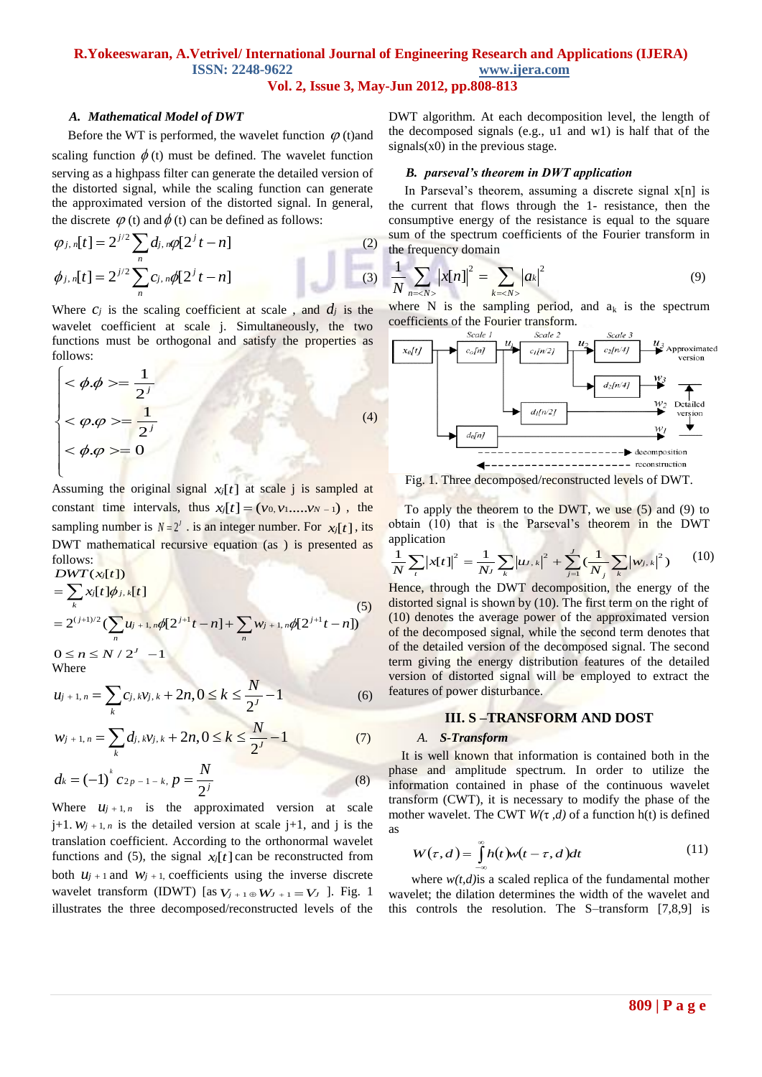## **R.Yokeeswaran, A.Vetrivel/ International Journal of Engineering Research and Applications (IJERA) ISSN: 2248-9622 www.ijera.com Vol. 2, Issue 3, May-Jun 2012, pp.808-813**

#### *A. Mathematical Model of DWT*

Before the WT is performed, the wavelet function  $\varphi$  (t) and scaling function  $\phi$  (t) must be defined. The wavelet function serving as a highpass filter can generate the detailed version of the distorted signal, while the scaling function can generate the approximated version of the distorted signal. In general,

the discrete 
$$
\varphi
$$
 (t) and  $\phi$  (t) can be defined as follows:  
\n
$$
\varphi_{j,n}[t] = 2^{j/2} \sum_{n} d_{j,n} \varphi[2^{j} t - n]
$$
\n
$$
\phi_{j,n}[t] = 2^{j/2} \sum_{n} c_{j,n} \varphi[2^{j} t - n]
$$
\n(3)

Where  $c_j$  is the scaling coefficient at scale, and  $d_j$  is the wavelet coefficient at scale j. Simultaneously, the two functions must be orthogonal and satisfy the properties as follows:

$$
\begin{cases}\n<\phi.\phi>=\frac{1}{2^j} \\
<\varphi.\varphi>=\frac{1}{2^j} \\
<\phi.\varphi>=0\n\end{cases}
$$
\n(4)

Assuming the original signal  $x_i[t]$  at scale j is sampled at constant time intervals, thus  $x_i[t] = (v_0, v_1, ..., v_{N-1})$ , the sampling number is  $N = 2^J$ . is an integer number. For  $x_j[t]$ , its DWT mathematical recursive equation (as ) is presented as follows:  $DWT(x_i[t])$ 

$$
DWT(x_i[t])
$$
  
=  $\sum_{k} x_i[t]\phi_{j,k}[t]$   
=  $2^{(j+1)/2} (\sum_{n} u_{j+1,n}\phi[2^{j+1}t - n] + \sum_{n} w_{j+1,n}\phi[2^{j+1}t - n])$   
 $0 \le n \le N/2^{J} - 1$   
Where

where  

$$
u_{j+1,n} = \sum_{k} c_{j,k} v_{j,k} + 2n, 0 \le k \le \frac{N}{2^{J}} - 1
$$
 (6)

$$
w_{j+1,n} = \sum_{k}^{k} d_{j,k} v_{j,k} + 2n, 0 \leq k \leq \frac{N}{2^{j}} - 1
$$
 (7)

$$
d_k = (-1)^k c_{2p-1-k}, p = \frac{N}{2^j}
$$
 (8)

Where  $u_{j+1,n}$  is the approximated version at scale  $j+1$ .  $W_{j+1,n}$  is the detailed version at scale  $j+1$ , and j is the translation coefficient. According to the orthonormal wavelet functions and (5), the signal  $x_i[t]$  can be reconstructed from both  $u_{j+1}$  and  $w_{j+1}$ , coefficients using the inverse discrete wavelet transform (IDWT) [as  $V_{j+1} \oplus W_{j+1} = V_j$  ]. Fig. 1 illustrates the three decomposed/reconstructed levels of the

DWT algorithm. At each decomposition level, the length of the decomposed signals (e.g., u1 and w1) is half that of the  $signals(x0)$  in the previous stage.

#### *B. parseval's theorem in DWT application*

In Parseval's theorem, assuming a discrete signal x[n] is the current that flows through the 1- resistance, then the consumptive energy of the resistance is equal to the square sum of the spectrum coefficients of the Fourier transform in the frequency domain

$$
\frac{1}{N} \sum_{n = }\left| x[n] \right|^2 = \sum_{k = } \left| a_k \right|^2 \tag{9}
$$

where N is the sampling period, and  $a_k$  is the spectrum coefficients of the Fourier transform.<br>
Scale 1 Scale 2



Fig. 1. Three decomposed/reconstructed levels of DWT.

 To apply the theorem to the DWT, we use (5) and (9) to To apply the theorem to the DWT, we use (5) and (9) to<br>obtain (10) that is the Parseval's theorem in the DWT<br>application<br> $\frac{1}{N} \sum_{t} |x[t]|^2 = \frac{1}{N_J} \sum_{k} |u_{J,k}|^2 + \sum_{j=1}^{J} (\frac{1}{N_j} \sum_{k} |w_{j,k}|^2)$  (10) application

pplication  
\n
$$
\frac{1}{N} \sum_{i} |x[t]|^2 = \frac{1}{N_J} \sum_{k} |u \cdot k|^2 + \sum_{j=1}^{J} (\frac{1}{N_j} \sum_{k} |w_{j \cdot k}|^2)
$$
(10)

Hence, through the DWT decomposition, the energy of the distorted signal is shown by (10). The first term on the right of (10) denotes the average power of the approximated version of the decomposed signal, while the second term denotes that of the detailed version of the decomposed signal. The second term giving the energy distribution features of the detailed version of distorted signal will be employed to extract the features of power disturbance.

#### **III. S –TRANSFORM AND DOST**

### *A. S-Transform*

 transform (CWT), it is necessary to modify the phase of the It is well known that information is contained both in the phase and amplitude spectrum. In order to utilize the information contained in phase of the continuous wavelet mother wavelet. The CWT *W(*τ *,d)* of a function h(t) is defined as

$$
W(\tau, d) = \int_{-\infty}^{\infty} h(t)w(t - \tau, d)dt
$$
 (11)

where *w(t,d)*is a scaled replica of the fundamental mother wavelet; the dilation determines the width of the wavelet and this controls the resolution. The S–transform [7,8,9] is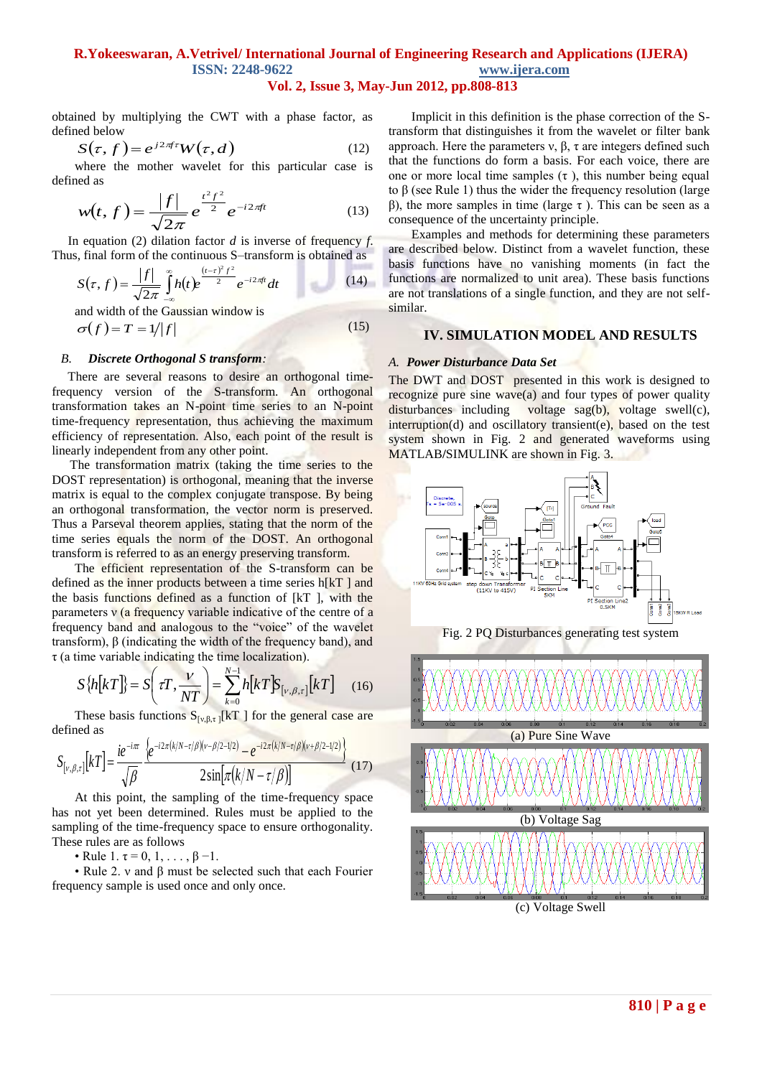## **R.Yokeeswaran, A.Vetrivel/ International Journal of Engineering Research and Applications (IJERA) ISSN: 2248-9622 www.ijera.com Vol. 2, Issue 3, May-Jun 2012, pp.808-813**

obtained by multiplying the CWT with a phase factor, as defined below

$$
S(\tau, f) = e^{j2\pi f \tau} W(\tau, d)
$$
 (12)

where the mother wavelet for this particular case is defined as

$$
w(t,f) = \frac{|f|}{\sqrt{2\pi}} e^{\frac{t^2 f^2}{2}} e^{-i2\pi ft}
$$
 (13)

 In equation (2) dilation factor *d* is inverse of frequency *f*. Thus, final form of the continuous S–transform is obtained as

$$
S(\tau, f) = \frac{|f|}{\sqrt{2\pi}} \int_{-\infty}^{\infty} h(t) e^{\frac{(t-\tau)^2 f^2}{2}} e^{-i2\pi ft} dt
$$
 (14)

and width of the Gaussian window is  
\n
$$
\sigma(f) = T = 1/|f|
$$
\n(15)

## *B. Discrete Orthogonal S transform:*

 There are several reasons to desire an orthogonal timefrequency version of the S-transform. An orthogonal transformation takes an N-point time series to an N-point time-frequency representation, thus achieving the maximum efficiency of representation. Also, each point of the result is linearly independent from any other point.

The transformation matrix (taking the time series to the DOST representation) is orthogonal, meaning that the inverse matrix is equal to the complex conjugate transpose. By being an orthogonal transformation, the vector norm is preserved. Thus a Parseval theorem applies, stating that the norm of the time series equals the norm of the DOST. An orthogonal transform is referred to as an energy preserving transform.

The efficient representation of the S-transform can be defined as the inner products between a time series h[kT ] and the basis functions defined as a function of [kT ], with the parameters  $v$  (a frequency variable indicative of the centre of a frequency band and analogous to the "voice" of the wavelet transform), β (indicating the width of the frequency band), and  $\tau$  (a time variable indicating the time localization).

$$
S\{h\bigkT\big\} = S\bigg(\tau T, \frac{V}{NT}\bigg) = \sum_{k=0}^{N-1} h\bigkT\bigS_{\big[V,\beta,\tau\big]} \big[kT\big] \tag{16}
$$

These basis functions  $S_{[v,\beta,\tau]}[kT]$  for the general case are

defined as  
\n
$$
S_{\lbrack v,\beta,\tau\rbrack}[k] = \frac{ie^{-i\pi}}{\sqrt{\beta}} \frac{\left\{e^{-i2\pi(k/N-\tau/\beta)(v-\beta/2-1/2)} - e^{-i2\pi(k/N-\tau/\beta)(v+\beta/2-1/2)}\right\}}{2\sin[\pi(k/N-\tau/\beta)]}
$$
\n(17)

At this point, the sampling of the time-frequency space has not yet been determined. Rules must be applied to the sampling of the time-frequency space to ensure orthogonality. These rules are as follows

• Rule 1.  $\tau = 0, 1, \ldots, \beta - 1$ .

• Rule 2. ν and β must be selected such that each Fourier frequency sample is used once and only once.

Implicit in this definition is the phase correction of the Stransform that distinguishes it from the wavelet or filter bank approach. Here the parameters ν, β, τ are integers defined such that the functions do form a basis. For each voice, there are one or more local time samples  $(\tau)$ , this number being equal to β (see Rule 1) thus the wider the frequency resolution (large β), the more samples in time (large τ). This can be seen as a consequence of the uncertainty principle.

Examples and methods for determining these parameters are described below. Distinct from a wavelet function, these basis functions have no vanishing moments (in fact the functions are normalized to unit area). These basis functions are not translations of a single function, and they are not selfsimilar.

## **IV. SIMULATION MODEL AND RESULTS**

#### *A. Power Disturbance Data Set*

The DWT and DOST presented in this work is designed to recognize pure sine wave(a) and four types of power quality disturbances including voltage sag(b), voltage swell(c), interruption(d) and oscillatory transient(e), based on the test system shown in Fig. 2 and generated waveforms using MATLAB**/**SIMULINK are shown in Fig. 3.



(c) Voltage Swell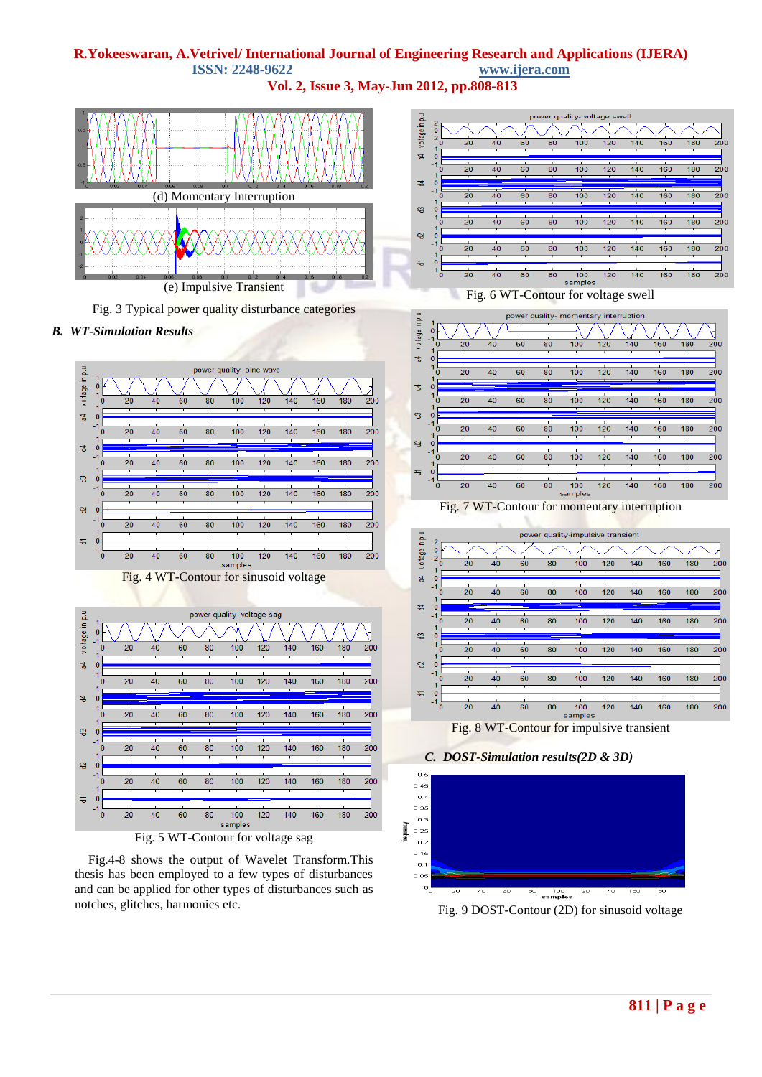## **R.Yokeeswaran, A.Vetrivel/ International Journal of Engineering Research and Applications (IJERA) ISSN: 2248-9622 www.ijera.com**

**Vol. 2, Issue 3, May-Jun 2012, pp.808-813**



Fig. 3 Typical power quality disturbance categories

## *B. WT-Simulation Results*



Fig.4-8 shows the output of Wavelet Transform.This thesis has been employed to a few types of disturbances and can be applied for other types of disturbances such as notches, glitches, harmonics etc.











Fig. 8 WT-Contour for impulsive transient





Fig. 9 DOST-Contour (2D) for sinusoid voltage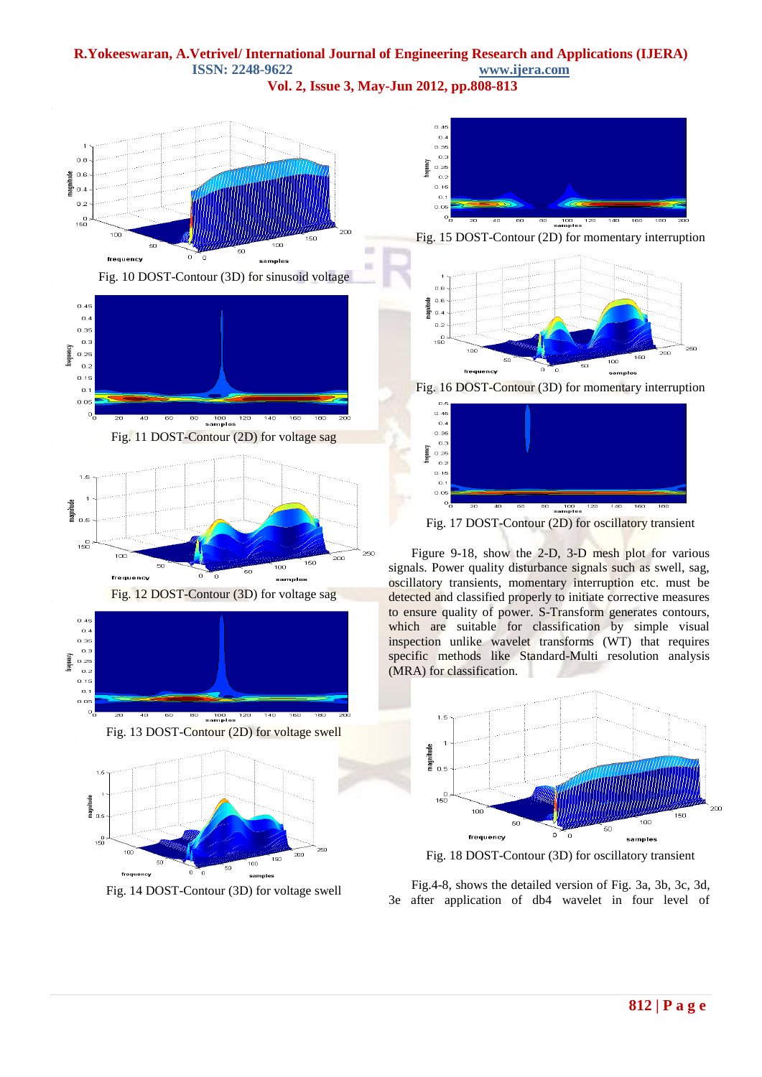## **R.Yokeeswaran, A.Vetrivel/ International Journal of Engineering Research and Applications (IJERA) ISSN: 2248-9622 www.ijera.com**

 $\sim$ 

 $\sim$ 

**Vol. 2, Issue 3, May-Jun 2012, pp.808-813**





Fig. 12 DOST-Contour (3D) for voltage sag





Fig. 14 DOST-Contour (3D) for voltage swell



Fig. 15 DOST-Contour (2D) for momentary interruption



Fig. 16 DOST-Contour (3D) for momentary interruption



Fig. 17 DOST-Contour (2D) for oscillatory transient

[Figure 9](http://www.medwelljournals.com/fulltext/?doi=ijepe.2009.59.68#f5)-[18,](http://www.medwelljournals.com/fulltext/?doi=ijepe.2009.59.68#f14) show the 2-D, 3-D mesh plot for various signals. Power quality disturbance signals such as swell, sag, oscillatory transients, momentary interruption etc. must be detected and classified properly to initiate corrective measures to ensure quality of power. S-Transform generates contours, which are suitable for classification by simple visual inspection unlike wavelet transforms (WT) that requires specific methods like Standard-Multi resolution analysis (MRA) for classification.



Fig. 18 DOST-Contour (3D) for oscillatory transient

Fig.4-8, shows the detailed version of Fig. 3a, 3b, 3c, 3d, 3e after application of db4 wavelet in four level of